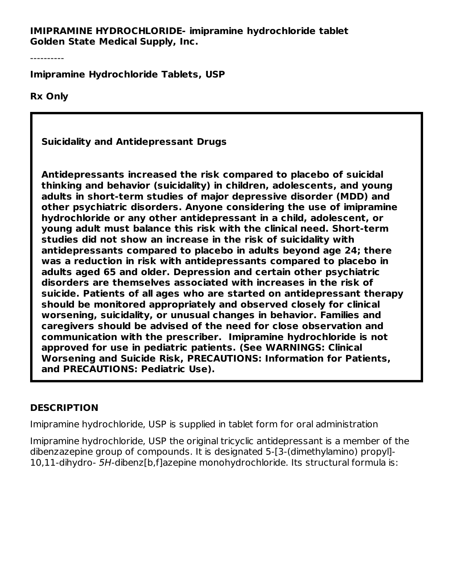**IMIPRAMINE HYDROCHLORIDE- imipramine hydrochloride tablet Golden State Medical Supply, Inc.**

----------

**Imipramine Hydrochloride Tablets, USP**

**Rx Only**

**Suicidality and Antidepressant Drugs**

**Antidepressants increased the risk compared to placebo of suicidal thinking and behavior (suicidality) in children, adolescents, and young adults in short-term studies of major depressive disorder (MDD) and other psychiatric disorders. Anyone considering the use of imipramine hydrochloride or any other antidepressant in a child, adolescent, or young adult must balance this risk with the clinical need. Short-term studies did not show an increase in the risk of suicidality with antidepressants compared to placebo in adults beyond age 24; there was a reduction in risk with antidepressants compared to placebo in adults aged 65 and older. Depression and certain other psychiatric disorders are themselves associated with increases in the risk of suicide. Patients of all ages who are started on antidepressant therapy should be monitored appropriately and observed closely for clinical worsening, suicidality, or unusual changes in behavior. Families and caregivers should be advised of the need for close observation and communication with the prescriber. Imipramine hydrochloride is not approved for use in pediatric patients. (See WARNINGS: Clinical Worsening and Suicide Risk, PRECAUTIONS: Information for Patients, and PRECAUTIONS: Pediatric Use).**

#### **DESCRIPTION**

Imipramine hydrochloride, USP is supplied in tablet form for oral administration

Imipramine hydrochloride, USP the original tricyclic antidepressant is a member of the dibenzazepine group of compounds. It is designated 5-[3-(dimethylamino) propyl]- 10,11-dihydro- 5H-dibenz[b,f]azepine monohydrochloride. Its structural formula is: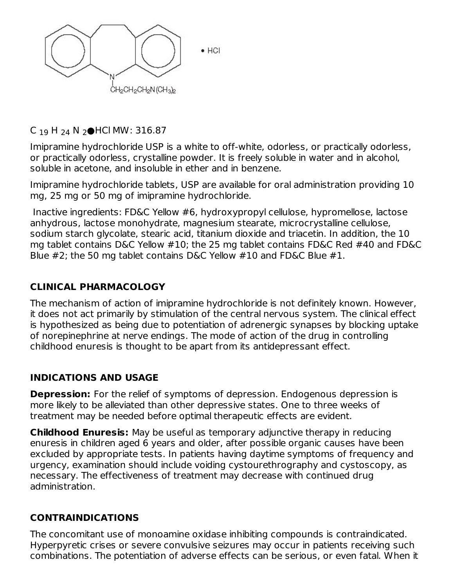

# C <sub>19</sub> H <sub>24</sub> N <sub>2</sub>●HCl MW: 316.87

Imipramine hydrochloride USP is a white to off-white, odorless, or practically odorless, or practically odorless, crystalline powder. It is freely soluble in water and in alcohol, soluble in acetone, and insoluble in ether and in benzene.

Imipramine hydrochloride tablets, USP are available for oral administration providing 10 mg, 25 mg or 50 mg of imipramine hydrochloride.

Inactive ingredients: FD&C Yellow #6, hydroxypropyl cellulose, hypromellose, lactose anhydrous, lactose monohydrate, magnesium stearate, microcrystalline cellulose, sodium starch glycolate, stearic acid, titanium dioxide and triacetin. In addition, the 10 mg tablet contains D&C Yellow #10; the 25 mg tablet contains FD&C Red #40 and FD&C Blue #2; the 50 mg tablet contains D&C Yellow #10 and FD&C Blue #1.

## **CLINICAL PHARMACOLOGY**

The mechanism of action of imipramine hydrochloride is not definitely known. However, it does not act primarily by stimulation of the central nervous system. The clinical effect is hypothesized as being due to potentiation of adrenergic synapses by blocking uptake of norepinephrine at nerve endings. The mode of action of the drug in controlling childhood enuresis is thought to be apart from its antidepressant effect.

# **INDICATIONS AND USAGE**

**Depression:** For the relief of symptoms of depression. Endogenous depression is more likely to be alleviated than other depressive states. One to three weeks of treatment may be needed before optimal therapeutic effects are evident.

**Childhood Enuresis:** May be useful as temporary adjunctive therapy in reducing enuresis in children aged 6 years and older, after possible organic causes have been excluded by appropriate tests. In patients having daytime symptoms of frequency and urgency, examination should include voiding cystourethrography and cystoscopy, as necessary. The effectiveness of treatment may decrease with continued drug administration.

# **CONTRAINDICATIONS**

The concomitant use of monoamine oxidase inhibiting compounds is contraindicated. Hyperpyretic crises or severe convulsive seizures may occur in patients receiving such combinations. The potentiation of adverse effects can be serious, or even fatal. When it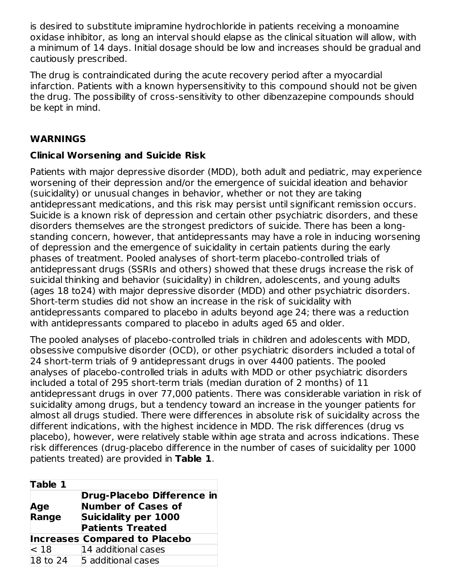is desired to substitute imipramine hydrochloride in patients receiving a monoamine oxidase inhibitor, as long an interval should elapse as the clinical situation will allow, with a minimum of 14 days. Initial dosage should be low and increases should be gradual and cautiously prescribed.

The drug is contraindicated during the acute recovery period after a myocardial infarction. Patients with a known hypersensitivity to this compound should not be given the drug. The possibility of cross-sensitivity to other dibenzazepine compounds should be kept in mind.

## **WARNINGS**

## **Clinical Worsening and Suicide Risk**

Patients with major depressive disorder (MDD), both adult and pediatric, may experience worsening of their depression and/or the emergence of suicidal ideation and behavior (suicidality) or unusual changes in behavior, whether or not they are taking antidepressant medications, and this risk may persist until significant remission occurs. Suicide is a known risk of depression and certain other psychiatric disorders, and these disorders themselves are the strongest predictors of suicide. There has been a longstanding concern, however, that antidepressants may have a role in inducing worsening of depression and the emergence of suicidality in certain patients during the early phases of treatment. Pooled analyses of short-term placebo-controlled trials of antidepressant drugs (SSRIs and others) showed that these drugs increase the risk of suicidal thinking and behavior (suicidality) in children, adolescents, and young adults (ages 18 to24) with major depressive disorder (MDD) and other psychiatric disorders. Short-term studies did not show an increase in the risk of suicidality with antidepressants compared to placebo in adults beyond age 24; there was a reduction with antidepressants compared to placebo in adults aged 65 and older.

The pooled analyses of placebo-controlled trials in children and adolescents with MDD, obsessive compulsive disorder (OCD), or other psychiatric disorders included a total of 24 short-term trials of 9 antidepressant drugs in over 4400 patients. The pooled analyses of placebo-controlled trials in adults with MDD or other psychiatric disorders included a total of 295 short-term trials (median duration of 2 months) of 11 antidepressant drugs in over 77,000 patients. There was considerable variation in risk of suicidality among drugs, but a tendency toward an increase in the younger patients for almost all drugs studied. There were differences in absolute risk of suicidality across the different indications, with the highest incidence in MDD. The risk differences (drug vs placebo), however, were relatively stable within age strata and across indications. These risk differences (drug-placebo difference in the number of cases of suicidality per 1000 patients treated) are provided in **Table 1**.

| Table 1      |                                                                                                                          |
|--------------|--------------------------------------------------------------------------------------------------------------------------|
| Age<br>Range | <b>Drug-Placebo Difference in</b><br><b>Number of Cases of</b><br><b>Suicidality per 1000</b><br><b>Patients Treated</b> |
|              | <b>Increases Compared to Placebo</b>                                                                                     |
| < 18         | 14 additional cases                                                                                                      |
| 18 to 24     | 5 additional cases                                                                                                       |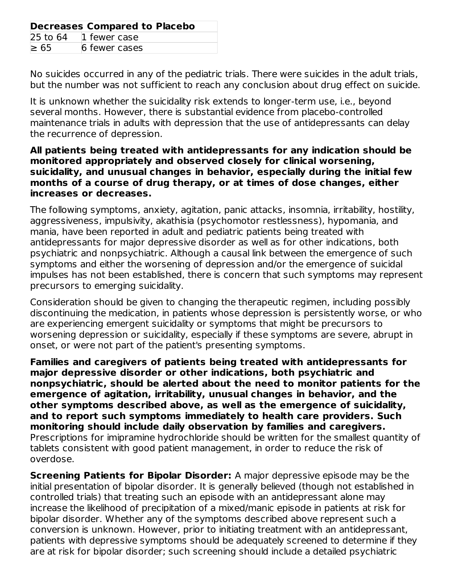|           | <b>Decreases Compared to Placebo</b> |
|-----------|--------------------------------------|
| 25 to 64  | 1 fewer case                         |
| $\geq 65$ | 6 fewer cases                        |

No suicides occurred in any of the pediatric trials. There were suicides in the adult trials, but the number was not sufficient to reach any conclusion about drug effect on suicide.

It is unknown whether the suicidality risk extends to longer-term use, i.e., beyond several months. However, there is substantial evidence from placebo-controlled maintenance trials in adults with depression that the use of antidepressants can delay the recurrence of depression.

#### **All patients being treated with antidepressants for any indication should be monitored appropriately and observed closely for clinical worsening, suicidality, and unusual changes in behavior, especially during the initial few months of a course of drug therapy, or at times of dose changes, either increases or decreases.**

The following symptoms, anxiety, agitation, panic attacks, insomnia, irritability, hostility, aggressiveness, impulsivity, akathisia (psychomotor restlessness), hypomania, and mania, have been reported in adult and pediatric patients being treated with antidepressants for major depressive disorder as well as for other indications, both psychiatric and nonpsychiatric. Although a causal link between the emergence of such symptoms and either the worsening of depression and/or the emergence of suicidal impulses has not been established, there is concern that such symptoms may represent precursors to emerging suicidality.

Consideration should be given to changing the therapeutic regimen, including possibly discontinuing the medication, in patients whose depression is persistently worse, or who are experiencing emergent suicidality or symptoms that might be precursors to worsening depression or suicidality, especially if these symptoms are severe, abrupt in onset, or were not part of the patient's presenting symptoms.

**Families and caregivers of patients being treated with antidepressants for major depressive disorder or other indications, both psychiatric and nonpsychiatric, should be alerted about the need to monitor patients for the emergence of agitation, irritability, unusual changes in behavior, and the other symptoms described above, as well as the emergence of suicidality, and to report such symptoms immediately to health care providers. Such monitoring should include daily observation by families and caregivers.** Prescriptions for imipramine hydrochloride should be written for the smallest quantity of tablets consistent with good patient management, in order to reduce the risk of overdose.

**Screening Patients for Bipolar Disorder:** A major depressive episode may be the initial presentation of bipolar disorder. It is generally believed (though not established in controlled trials) that treating such an episode with an antidepressant alone may increase the likelihood of precipitation of a mixed/manic episode in patients at risk for bipolar disorder. Whether any of the symptoms described above represent such a conversion is unknown. However, prior to initiating treatment with an antidepressant, patients with depressive symptoms should be adequately screened to determine if they are at risk for bipolar disorder; such screening should include a detailed psychiatric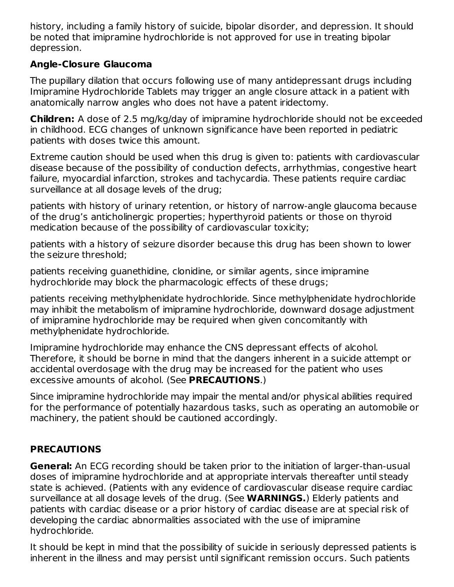history, including a family history of suicide, bipolar disorder, and depression. It should be noted that imipramine hydrochloride is not approved for use in treating bipolar depression.

# **Angle-Closure Glaucoma**

The pupillary dilation that occurs following use of many antidepressant drugs including Imipramine Hydrochloride Tablets may trigger an angle closure attack in a patient with anatomically narrow angles who does not have a patent iridectomy.

**Children:** A dose of 2.5 mg/kg/day of imipramine hydrochloride should not be exceeded in childhood. ECG changes of unknown significance have been reported in pediatric patients with doses twice this amount.

Extreme caution should be used when this drug is given to: patients with cardiovascular disease because of the possibility of conduction defects, arrhythmias, congestive heart failure, myocardial infarction, strokes and tachycardia. These patients require cardiac surveillance at all dosage levels of the drug;

patients with history of urinary retention, or history of narrow-angle glaucoma because of the drug's anticholinergic properties; hyperthyroid patients or those on thyroid medication because of the possibility of cardiovascular toxicity;

patients with a history of seizure disorder because this drug has been shown to lower the seizure threshold;

patients receiving guanethidine, clonidine, or similar agents, since imipramine hydrochloride may block the pharmacologic effects of these drugs;

patients receiving methylphenidate hydrochloride. Since methylphenidate hydrochloride may inhibit the metabolism of imipramine hydrochloride, downward dosage adjustment of imipramine hydrochloride may be required when given concomitantly with methylphenidate hydrochloride.

Imipramine hydrochloride may enhance the CNS depressant effects of alcohol. Therefore, it should be borne in mind that the dangers inherent in a suicide attempt or accidental overdosage with the drug may be increased for the patient who uses excessive amounts of alcohol. (See **PRECAUTIONS**.)

Since imipramine hydrochloride may impair the mental and/or physical abilities required for the performance of potentially hazardous tasks, such as operating an automobile or machinery, the patient should be cautioned accordingly.

# **PRECAUTIONS**

**General:** An ECG recording should be taken prior to the initiation of larger-than-usual doses of imipramine hydrochloride and at appropriate intervals thereafter until steady state is achieved. (Patients with any evidence of cardiovascular disease require cardiac surveillance at all dosage levels of the drug. (See **WARNINGS.**) Elderly patients and patients with cardiac disease or a prior history of cardiac disease are at special risk of developing the cardiac abnormalities associated with the use of imipramine hydrochloride.

It should be kept in mind that the possibility of suicide in seriously depressed patients is inherent in the illness and may persist until significant remission occurs. Such patients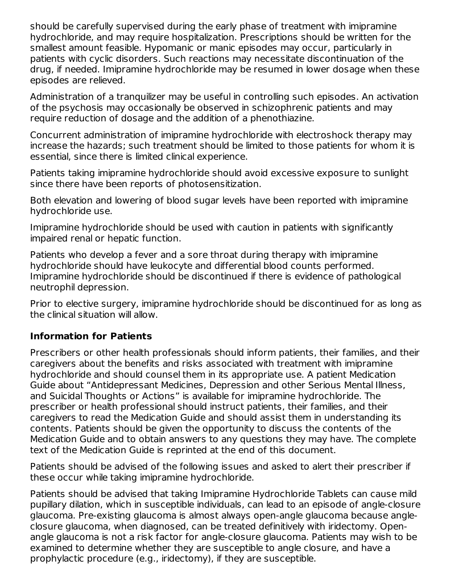should be carefully supervised during the early phase of treatment with imipramine hydrochloride, and may require hospitalization. Prescriptions should be written for the smallest amount feasible. Hypomanic or manic episodes may occur, particularly in patients with cyclic disorders. Such reactions may necessitate discontinuation of the drug, if needed. Imipramine hydrochloride may be resumed in lower dosage when these episodes are relieved.

Administration of a tranquilizer may be useful in controlling such episodes. An activation of the psychosis may occasionally be observed in schizophrenic patients and may require reduction of dosage and the addition of a phenothiazine.

Concurrent administration of imipramine hydrochloride with electroshock therapy may increase the hazards; such treatment should be limited to those patients for whom it is essential, since there is limited clinical experience.

Patients taking imipramine hydrochloride should avoid excessive exposure to sunlight since there have been reports of photosensitization.

Both elevation and lowering of blood sugar levels have been reported with imipramine hydrochloride use.

Imipramine hydrochloride should be used with caution in patients with significantly impaired renal or hepatic function.

Patients who develop a fever and a sore throat during therapy with imipramine hydrochloride should have leukocyte and differential blood counts performed. Imipramine hydrochloride should be discontinued if there is evidence of pathological neutrophil depression.

Prior to elective surgery, imipramine hydrochloride should be discontinued for as long as the clinical situation will allow.

## **Information for Patients**

Prescribers or other health professionals should inform patients, their families, and their caregivers about the benefits and risks associated with treatment with imipramine hydrochloride and should counsel them in its appropriate use. A patient Medication Guide about "Antidepressant Medicines, Depression and other Serious Mental Illness, and Suicidal Thoughts or Actions" is available for imipramine hydrochloride. The prescriber or health professional should instruct patients, their families, and their caregivers to read the Medication Guide and should assist them in understanding its contents. Patients should be given the opportunity to discuss the contents of the Medication Guide and to obtain answers to any questions they may have. The complete text of the Medication Guide is reprinted at the end of this document.

Patients should be advised of the following issues and asked to alert their prescriber if these occur while taking imipramine hydrochloride.

Patients should be advised that taking Imipramine Hydrochloride Tablets can cause mild pupillary dilation, which in susceptible individuals, can lead to an episode of angle-closure glaucoma. Pre-existing glaucoma is almost always open-angle glaucoma because angleclosure glaucoma, when diagnosed, can be treated definitively with iridectomy. Openangle glaucoma is not a risk factor for angle-closure glaucoma. Patients may wish to be examined to determine whether they are susceptible to angle closure, and have a prophylactic procedure (e.g., iridectomy), if they are susceptible.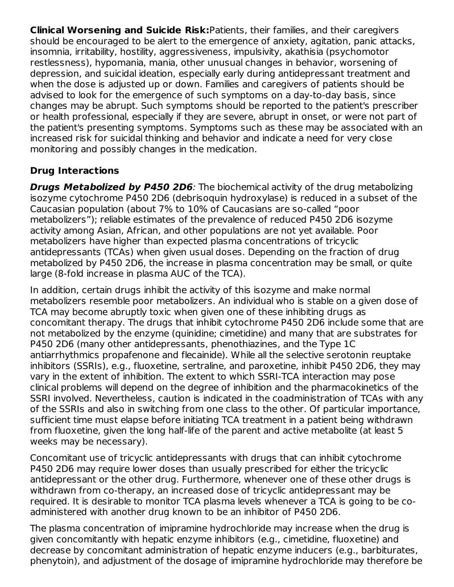**Clinical Worsening and Suicide Risk:**Patients, their families, and their caregivers should be encouraged to be alert to the emergence of anxiety, agitation, panic attacks, insomnia, irritability, hostility, aggressiveness, impulsivity, akathisia (psychomotor restlessness), hypomania, mania, other unusual changes in behavior, worsening of depression, and suicidal ideation, especially early during antidepressant treatment and when the dose is adjusted up or down. Families and caregivers of patients should be advised to look for the emergence of such symptoms on a day-to-day basis, since changes may be abrupt. Such symptoms should be reported to the patient's prescriber or health professional, especially if they are severe, abrupt in onset, or were not part of the patient's presenting symptoms. Symptoms such as these may be associated with an increased risk for suicidal thinking and behavior and indicate a need for very close monitoring and possibly changes in the medication.

# **Drug Interactions**

**Drugs Metabolized by P450 2D6**: The biochemical activity of the drug metabolizing isozyme cytochrome P450 2D6 (debrisoquin hydroxylase) is reduced in a subset of the Caucasian population (about 7% to 10% of Caucasians are so-called "poor metabolizers"); reliable estimates of the prevalence of reduced P450 2D6 isozyme activity among Asian, African, and other populations are not yet available. Poor metabolizers have higher than expected plasma concentrations of tricyclic antidepressants (TCAs) when given usual doses. Depending on the fraction of drug metabolized by P450 2D6, the increase in plasma concentration may be small, or quite large (8-fold increase in plasma AUC of the TCA).

In addition, certain drugs inhibit the activity of this isozyme and make normal metabolizers resemble poor metabolizers. An individual who is stable on a given dose of TCA may become abruptly toxic when given one of these inhibiting drugs as concomitant therapy. The drugs that inhibit cytochrome P450 2D6 include some that are not metabolized by the enzyme (quinidine; cimetidine) and many that are substrates for P450 2D6 (many other antidepressants, phenothiazines, and the Type 1C antiarrhythmics propafenone and flecainide). While all the selective serotonin reuptake inhibitors (SSRIs), e.g., fluoxetine, sertraline, and paroxetine, inhibit P450 2D6, they may vary in the extent of inhibition. The extent to which SSRI-TCA interaction may pose clinical problems will depend on the degree of inhibition and the pharmacokinetics of the SSRI involved. Nevertheless, caution is indicated in the coadministration of TCAs with any of the SSRIs and also in switching from one class to the other. Of particular importance, sufficient time must elapse before initiating TCA treatment in a patient being withdrawn from fluoxetine, given the long half-life of the parent and active metabolite (at least 5 weeks may be necessary).

Concomitant use of tricyclic antidepressants with drugs that can inhibit cytochrome P450 2D6 may require lower doses than usually prescribed for either the tricyclic antidepressant or the other drug. Furthermore, whenever one of these other drugs is withdrawn from co-therapy, an increased dose of tricyclic antidepressant may be required. It is desirable to monitor TCA plasma levels whenever a TCA is going to be coadministered with another drug known to be an inhibitor of P450 2D6.

The plasma concentration of imipramine hydrochloride may increase when the drug is given concomitantly with hepatic enzyme inhibitors (e.g., cimetidine, fluoxetine) and decrease by concomitant administration of hepatic enzyme inducers (e.g., barbiturates, phenytoin), and adjustment of the dosage of imipramine hydrochloride may therefore be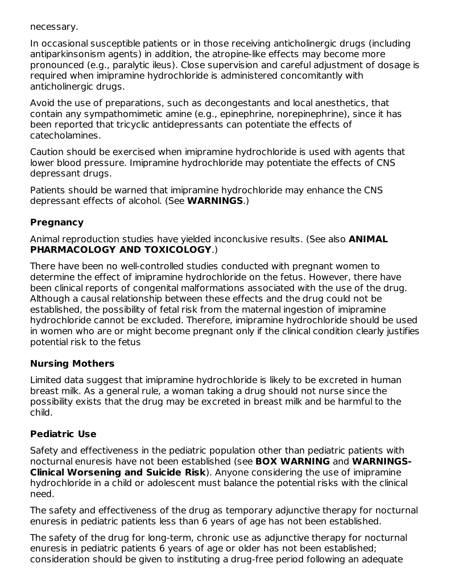necessary.

In occasional susceptible patients or in those receiving anticholinergic drugs (including antiparkinsonism agents) in addition, the atropine-like effects may become more pronounced (e.g., paralytic ileus). Close supervision and careful adjustment of dosage is required when imipramine hydrochloride is administered concomitantly with anticholinergic drugs.

Avoid the use of preparations, such as decongestants and local anesthetics, that contain any sympathomimetic amine (e.g., epinephrine, norepinephrine), since it has been reported that tricyclic antidepressants can potentiate the effects of catecholamines.

Caution should be exercised when imipramine hydrochloride is used with agents that lower blood pressure. Imipramine hydrochloride may potentiate the effects of CNS depressant drugs.

Patients should be warned that imipramine hydrochloride may enhance the CNS depressant effects of alcohol. (See **WARNINGS**.)

## **Pregnancy**

Animal reproduction studies have yielded inconclusive results. (See also **ANIMAL PHARMACOLOGY AND TOXICOLOGY**.)

There have been no well-controlled studies conducted with pregnant women to determine the effect of imipramine hydrochloride on the fetus. However, there have been clinical reports of congenital malformations associated with the use of the drug. Although a causal relationship between these effects and the drug could not be established, the possibility of fetal risk from the maternal ingestion of imipramine hydrochloride cannot be excluded. Therefore, imipramine hydrochloride should be used in women who are or might become pregnant only if the clinical condition clearly justifies potential risk to the fetus

# **Nursing Mothers**

Limited data suggest that imipramine hydrochloride is likely to be excreted in human breast milk. As a general rule, a woman taking a drug should not nurse since the possibility exists that the drug may be excreted in breast milk and be harmful to the child.

# **Pediatric Use**

Safety and effectiveness in the pediatric population other than pediatric patients with nocturnal enuresis have not been established (see **BOX WARNING** and **WARNINGS-Clinical Worsening and Suicide Risk**). Anyone considering the use of imipramine hydrochloride in a child or adolescent must balance the potential risks with the clinical need.

The safety and effectiveness of the drug as temporary adjunctive therapy for nocturnal enuresis in pediatric patients less than 6 years of age has not been established.

The safety of the drug for long-term, chronic use as adjunctive therapy for nocturnal enuresis in pediatric patients 6 years of age or older has not been established; consideration should be given to instituting a drug-free period following an adequate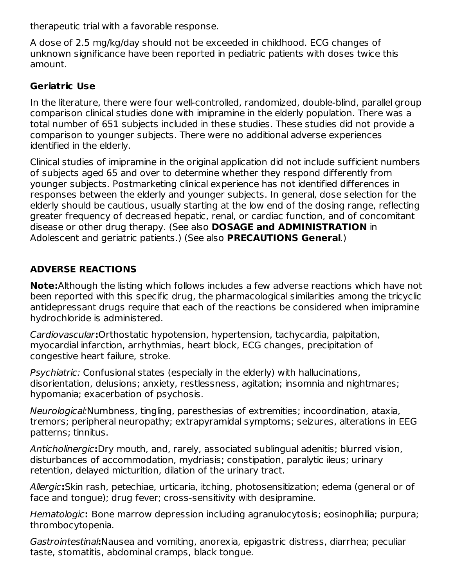therapeutic trial with a favorable response.

A dose of 2.5 mg/kg/day should not be exceeded in childhood. ECG changes of unknown significance have been reported in pediatric patients with doses twice this amount.

## **Geriatric Use**

In the literature, there were four well-controlled, randomized, double-blind, parallel group comparison clinical studies done with imipramine in the elderly population. There was a total number of 651 subjects included in these studies. These studies did not provide a comparison to younger subjects. There were no additional adverse experiences identified in the elderly.

Clinical studies of imipramine in the original application did not include sufficient numbers of subjects aged 65 and over to determine whether they respond differently from younger subjects. Postmarketing clinical experience has not identified differences in responses between the elderly and younger subjects. In general, dose selection for the elderly should be cautious, usually starting at the low end of the dosing range, reflecting greater frequency of decreased hepatic, renal, or cardiac function, and of concomitant disease or other drug therapy. (See also **DOSAGE and ADMINISTRATION** in Adolescent and geriatric patients.) (See also **PRECAUTIONS General**.)

# **ADVERSE REACTIONS**

**Note:**Although the listing which follows includes a few adverse reactions which have not been reported with this specific drug, the pharmacological similarities among the tricyclic antidepressant drugs require that each of the reactions be considered when imipramine hydrochloride is administered.

Cardiovascular**:**Orthostatic hypotension, hypertension, tachycardia, palpitation, myocardial infarction, arrhythmias, heart block, ECG changes, precipitation of congestive heart failure, stroke.

Psychiatric: Confusional states (especially in the elderly) with hallucinations, disorientation, delusions; anxiety, restlessness, agitation; insomnia and nightmares; hypomania; exacerbation of psychosis.

Neurological:Numbness, tingling, paresthesias of extremities; incoordination, ataxia, tremors; peripheral neuropathy; extrapyramidal symptoms; seizures, alterations in EEG patterns; tinnitus.

Anticholinergic**:**Dry mouth, and, rarely, associated sublingual adenitis; blurred vision, disturbances of accommodation, mydriasis; constipation, paralytic ileus; urinary retention, delayed micturition, dilation of the urinary tract.

Allergic**:**Skin rash, petechiae, urticaria, itching, photosensitization; edema (general or of face and tongue); drug fever; cross-sensitivity with desipramine.

Hematologic**:** Bone marrow depression including agranulocytosis; eosinophilia; purpura; thrombocytopenia.

Gastrointestinal**:**Nausea and vomiting, anorexia, epigastric distress, diarrhea; peculiar taste, stomatitis, abdominal cramps, black tongue.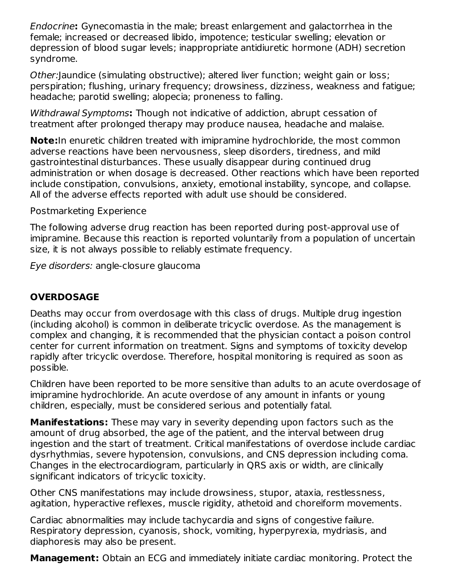Endocrine**:** Gynecomastia in the male; breast enlargement and galactorrhea in the female; increased or decreased libido, impotence; testicular swelling; elevation or depression of blood sugar levels; inappropriate antidiuretic hormone (ADH) secretion syndrome.

Other:Jaundice (simulating obstructive); altered liver function; weight gain or loss; perspiration; flushing, urinary frequency; drowsiness, dizziness, weakness and fatigue; headache; parotid swelling; alopecia; proneness to falling.

Withdrawal Symptoms**:** Though not indicative of addiction, abrupt cessation of treatment after prolonged therapy may produce nausea, headache and malaise.

**Note:**In enuretic children treated with imipramine hydrochloride, the most common adverse reactions have been nervousness, sleep disorders, tiredness, and mild gastrointestinal disturbances. These usually disappear during continued drug administration or when dosage is decreased. Other reactions which have been reported include constipation, convulsions, anxiety, emotional instability, syncope, and collapse. All of the adverse effects reported with adult use should be considered.

Postmarketing Experience

The following adverse drug reaction has been reported during post-approval use of imipramine. Because this reaction is reported voluntarily from a population of uncertain size, it is not always possible to reliably estimate frequency.

Eye disorders: angle-closure glaucoma

# **OVERDOSAGE**

Deaths may occur from overdosage with this class of drugs. Multiple drug ingestion (including alcohol) is common in deliberate tricyclic overdose. As the management is complex and changing, it is recommended that the physician contact a poison control center for current information on treatment. Signs and symptoms of toxicity develop rapidly after tricyclic overdose. Therefore, hospital monitoring is required as soon as possible.

Children have been reported to be more sensitive than adults to an acute overdosage of imipramine hydrochloride. An acute overdose of any amount in infants or young children, especially, must be considered serious and potentially fatal.

**Manifestations:** These may vary in severity depending upon factors such as the amount of drug absorbed, the age of the patient, and the interval between drug ingestion and the start of treatment. Critical manifestations of overdose include cardiac dysrhythmias, severe hypotension, convulsions, and CNS depression including coma. Changes in the electrocardiogram, particularly in QRS axis or width, are clinically significant indicators of tricyclic toxicity.

Other CNS manifestations may include drowsiness, stupor, ataxia, restlessness, agitation, hyperactive reflexes, muscle rigidity, athetoid and choreiform movements.

Cardiac abnormalities may include tachycardia and signs of congestive failure. Respiratory depression, cyanosis, shock, vomiting, hyperpyrexia, mydriasis, and diaphoresis may also be present.

**Management:** Obtain an ECG and immediately initiate cardiac monitoring. Protect the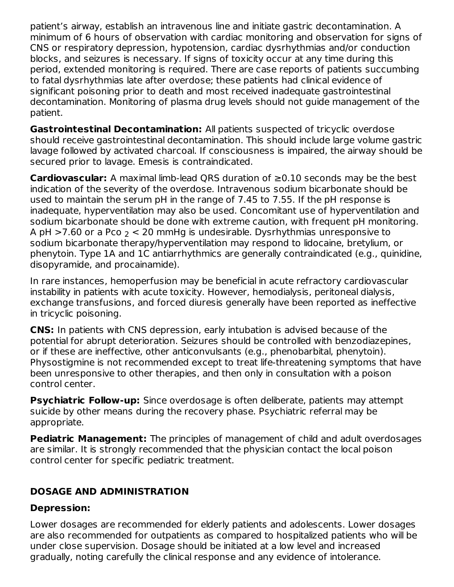patient's airway, establish an intravenous line and initiate gastric decontamination. A minimum of 6 hours of observation with cardiac monitoring and observation for signs of CNS or respiratory depression, hypotension, cardiac dysrhythmias and/or conduction blocks, and seizures is necessary. If signs of toxicity occur at any time during this period, extended monitoring is required. There are case reports of patients succumbing to fatal dysrhythmias late after overdose; these patients had clinical evidence of significant poisoning prior to death and most received inadequate gastrointestinal decontamination. Monitoring of plasma drug levels should not guide management of the patient.

**Gastrointestinal Decontamination:** All patients suspected of tricyclic overdose should receive gastrointestinal decontamination. This should include large volume gastric lavage followed by activated charcoal. If consciousness is impaired, the airway should be secured prior to lavage. Emesis is contraindicated.

**Cardiovascular:** A maximal limb-lead QRS duration of ≥0.10 seconds may be the best indication of the severity of the overdose. Intravenous sodium bicarbonate should be used to maintain the serum pH in the range of 7.45 to 7.55. If the pH response is inadequate, hyperventilation may also be used. Concomitant use of hyperventilation and sodium bicarbonate should be done with extreme caution, with frequent pH monitoring. A pH >7.60 or a Pco  $_2$  < 20 mmHg is undesirable. Dysrhythmias unresponsive to sodium bicarbonate therapy/hyperventilation may respond to lidocaine, bretylium, or phenytoin. Type 1A and 1C antiarrhythmics are generally contraindicated (e.g., quinidine, disopyramide, and procainamide).

In rare instances, hemoperfusion may be beneficial in acute refractory cardiovascular instability in patients with acute toxicity. However, hemodialysis, peritoneal dialysis, exchange transfusions, and forced diuresis generally have been reported as ineffective in tricyclic poisoning.

**CNS:** In patients with CNS depression, early intubation is advised because of the potential for abrupt deterioration. Seizures should be controlled with benzodiazepines, or if these are ineffective, other anticonvulsants (e.g., phenobarbital, phenytoin). Physostigmine is not recommended except to treat life-threatening symptoms that have been unresponsive to other therapies, and then only in consultation with a poison control center.

**Psychiatric Follow-up:** Since overdosage is often deliberate, patients may attempt suicide by other means during the recovery phase. Psychiatric referral may be appropriate.

**Pediatric Management:** The principles of management of child and adult overdosages are similar. It is strongly recommended that the physician contact the local poison control center for specific pediatric treatment.

# **DOSAGE AND ADMINISTRATION**

# **Depression:**

Lower dosages are recommended for elderly patients and adolescents. Lower dosages are also recommended for outpatients as compared to hospitalized patients who will be under close supervision. Dosage should be initiated at a low level and increased gradually, noting carefully the clinical response and any evidence of intolerance.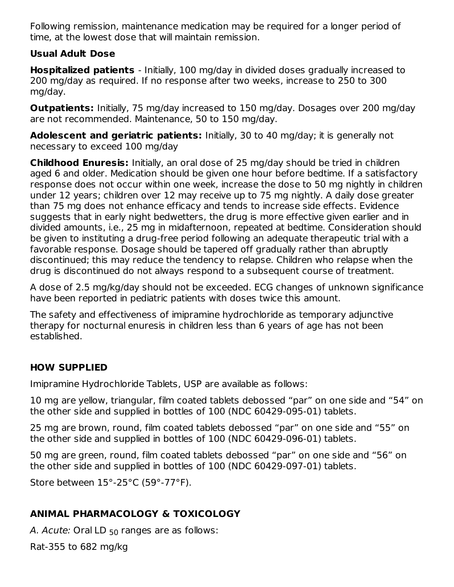Following remission, maintenance medication may be required for a longer period of time, at the lowest dose that will maintain remission.

## **Usual Adult Dose**

**Hospitalized patients** - Initially, 100 mg/day in divided doses gradually increased to 200 mg/day as required. If no response after two weeks, increase to 250 to 300 mg/day.

**Outpatients:** Initially, 75 mg/day increased to 150 mg/day. Dosages over 200 mg/day are not recommended. Maintenance, 50 to 150 mg/day.

**Adolescent and geriatric patients:** Initially, 30 to 40 mg/day; it is generally not necessary to exceed 100 mg/day

**Childhood Enuresis:** Initially, an oral dose of 25 mg/day should be tried in children aged 6 and older. Medication should be given one hour before bedtime. If a satisfactory response does not occur within one week, increase the dose to 50 mg nightly in children under 12 years; children over 12 may receive up to 75 mg nightly. A daily dose greater than 75 mg does not enhance efficacy and tends to increase side effects. Evidence suggests that in early night bedwetters, the drug is more effective given earlier and in divided amounts, i.e., 25 mg in midafternoon, repeated at bedtime. Consideration should be given to instituting a drug-free period following an adequate therapeutic trial with a favorable response. Dosage should be tapered off gradually rather than abruptly discontinued; this may reduce the tendency to relapse. Children who relapse when the drug is discontinued do not always respond to a subsequent course of treatment.

A dose of 2.5 mg/kg/day should not be exceeded. ECG changes of unknown significance have been reported in pediatric patients with doses twice this amount.

The safety and effectiveness of imipramine hydrochloride as temporary adjunctive therapy for nocturnal enuresis in children less than 6 years of age has not been established.

# **HOW SUPPLIED**

Imipramine Hydrochloride Tablets, USP are available as follows:

10 mg are yellow, triangular, film coated tablets debossed "par" on one side and "54" on the other side and supplied in bottles of 100 (NDC 60429-095-01) tablets.

25 mg are brown, round, film coated tablets debossed "par" on one side and "55" on the other side and supplied in bottles of 100 (NDC 60429-096-01) tablets.

50 mg are green, round, film coated tablets debossed "par" on one side and "56" on the other side and supplied in bottles of 100 (NDC 60429-097-01) tablets.

Store between 15°-25°C (59°-77°F).

# **ANIMAL PHARMACOLOGY & TOXICOLOGY**

A*. Acute:* Oral LD <sub>50</sub> ranges are as follows:

Rat-355 to 682 mg/kg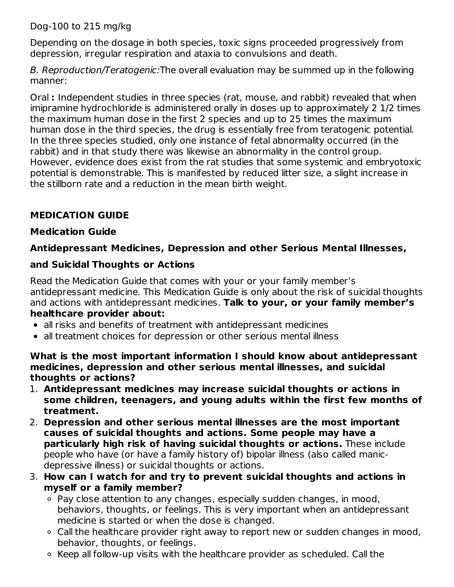Dog-100 to 215 mg/kg

Depending on the dosage in both species, toxic signs proceeded progressively from depression, irregular respiration and ataxia to convulsions and death.

B. Reproduction/Teratogenic:The overall evaluation may be summed up in the following manner:

Oral **:** Independent studies in three species (rat, mouse, and rabbit) revealed that when imipramine hydrochloride is administered orally in doses up to approximately 2 1/2 times the maximum human dose in the first 2 species and up to 25 times the maximum human dose in the third species, the drug is essentially free from teratogenic potential. In the three species studied, only one instance of fetal abnormality occurred (in the rabbit) and in that study there was likewise an abnormality in the control group. However, evidence does exist from the rat studies that some systemic and embryotoxic potential is demonstrable. This is manifested by reduced litter size, a slight increase in the stillborn rate and a reduction in the mean birth weight.

# **MEDICATION GUIDE**

## **Medication Guide**

## **Antidepressant Medicines, Depression and other Serious Mental Illnesses,**

## **and Suicidal Thoughts or Actions**

Read the Medication Guide that comes with your or your family member's antidepressant medicine. This Medication Guide is only about the risk of suicidal thoughts and actions with antidepressant medicines. **Talk to your, or your family member's**

## **healthcare provider about:**

- all risks and benefits of treatment with antidepressant medicines
- all treatment choices for depression or other serious mental illness

#### **What is the most important information I should know about antidepressant medicines, depression and other serious mental illnesses, and suicidal thoughts or actions?**

- 1. **Antidepressant medicines may increase suicidal thoughts or actions in some children, teenagers, and young adults within the first few months of treatment.**
- 2. **Depression and other serious mental illnesses are the most important causes of suicidal thoughts and actions. Some people may have a particularly high risk of having suicidal thoughts or actions.** These include people who have (or have a family history of) bipolar illness (also called manicdepressive illness) or suicidal thoughts or actions.
- 3. **How can I watch for and try to prevent suicidal thoughts and actions in myself or a family member?**
	- Pay close attention to any changes, especially sudden changes, in mood, behaviors, thoughts, or feelings. This is very important when an antidepressant medicine is started or when the dose is changed.
	- Call the healthcare provider right away to report new or sudden changes in mood, behavior, thoughts, or feelings.
	- $\circ$  Keep all follow-up visits with the healthcare provider as scheduled. Call the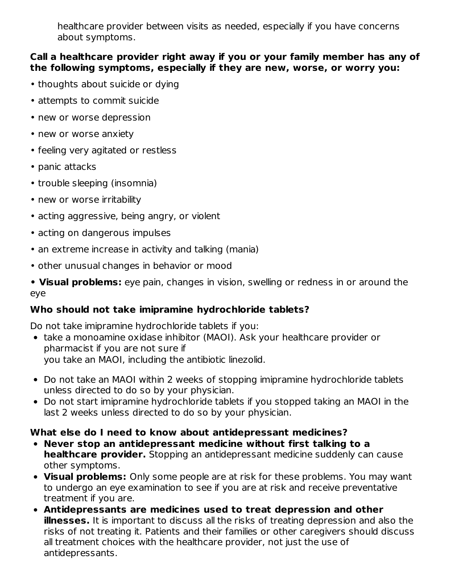healthcare provider between visits as needed, especially if you have concerns about symptoms.

## **Call a healthcare provider right away if you or your family member has any of the following symptoms, especially if they are new, worse, or worry you:**

- thoughts about suicide or dying
- attempts to commit suicide
- new or worse depression
- new or worse anxiety
- feeling very agitated or restless
- panic attacks
- trouble sleeping (insomnia)
- new or worse irritability
- acting aggressive, being angry, or violent
- acting on dangerous impulses
- an extreme increase in activity and talking (mania)
- other unusual changes in behavior or mood

**• Visual problems:** eye pain, changes in vision, swelling or redness in or around the eye

## **Who should not take imipramine hydrochloride tablets?**

Do not take imipramine hydrochloride tablets if you:

- take a monoamine oxidase inhibitor (MAOI). Ask your healthcare provider or pharmacist if you are not sure if you take an MAOI, including the antibiotic linezolid.
- Do not take an MAOI within 2 weeks of stopping imipramine hydrochloride tablets unless directed to do so by your physician.
- Do not start imipramine hydrochloride tablets if you stopped taking an MAOI in the last 2 weeks unless directed to do so by your physician.

# **What else do I need to know about antidepressant medicines?**

- **Never stop an antidepressant medicine without first talking to a healthcare provider.** Stopping an antidepressant medicine suddenly can cause other symptoms.
- **Visual problems:** Only some people are at risk for these problems. You may want to undergo an eye examination to see if you are at risk and receive preventative treatment if you are.
- **Antidepressants are medicines used to treat depression and other illnesses.** It is important to discuss all the risks of treating depression and also the risks of not treating it. Patients and their families or other caregivers should discuss all treatment choices with the healthcare provider, not just the use of antidepressants.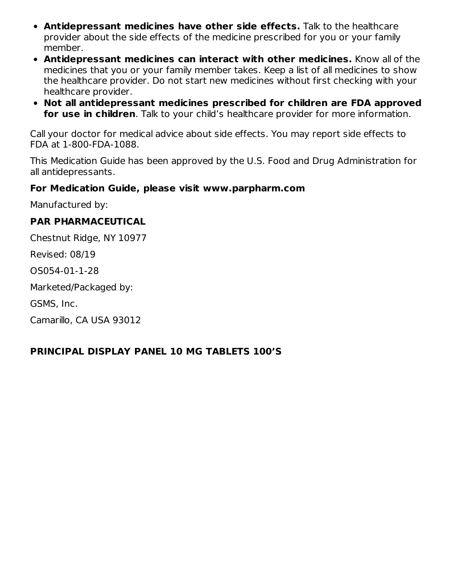- **Antidepressant medicines have other side effects.** Talk to the healthcare provider about the side effects of the medicine prescribed for you or your family member.
- **Antidepressant medicines can interact with other medicines.** Know all of the medicines that you or your family member takes. Keep a list of all medicines to show the healthcare provider. Do not start new medicines without first checking with your healthcare provider.
- **Not all antidepressant medicines prescribed for children are FDA approved for use in children**. Talk to your child's healthcare provider for more information.

Call your doctor for medical advice about side effects. You may report side effects to FDA at 1-800-FDA-1088.

This Medication Guide has been approved by the U.S. Food and Drug Administration for all antidepressants.

## **For Medication Guide, please visit www.parpharm.com**

Manufactured by:

# **PAR PHARMACEUTICAL**

Chestnut Ridge, NY 10977

Revised: 08/19

OS054-01-1-28

Marketed/Packaged by:

GSMS, Inc.

Camarillo, CA USA 93012

# **PRINCIPAL DISPLAY PANEL 10 MG TABLETS 100'S**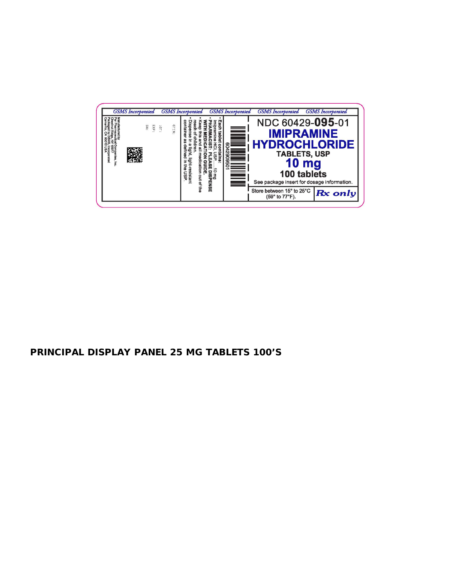

## **PRINCIPAL DISPLAY PANEL 25 MG TABLETS 100'S**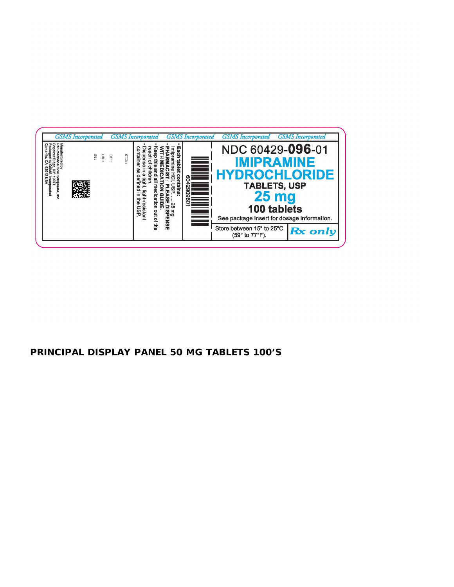

#### **PRINCIPAL DISPLAY PANEL 50 MG TABLETS 100'S**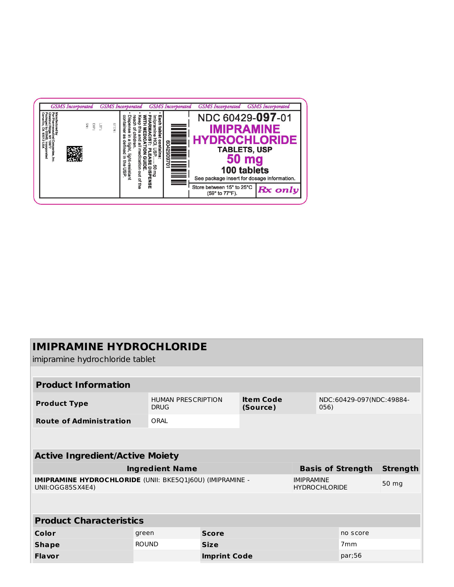|                         | <b>GSMS</b> Incorporated |     |      |     |       | <b>GSMS</b> Incorporated  |        |                             |        | <b>GSMS</b> Incorporated | <b>GSMS</b> Incorporated                                  | <b>GSMS</b> Incorporated |
|-------------------------|--------------------------|-----|------|-----|-------|---------------------------|--------|-----------------------------|--------|--------------------------|-----------------------------------------------------------|--------------------------|
|                         |                          | SN: | EXP: | 510 | CLIN: | o                         |        |                             | Б<br>õ |                          | NDC 60429-097-01<br>IMIPRAMINE                            |                          |
|                         |                          |     |      |     |       |                           |        |                             |        |                          | <b>HYDROCHLORIDE</b>                                      |                          |
| ;ompanies, inc.<br>0977 |                          |     |      |     |       |                           |        |                             |        | ഥ                        | <b>TABLETS, USP</b>                                       |                          |
|                         |                          |     |      |     |       | light-resistant<br>5<br>5 | out of | Ξ<br>ၶ<br>50 mg<br>DISPENSE |        | ≡≡                       | 100 tablets<br>See package insert for dosage information. |                          |
|                         |                          |     |      |     |       |                           | Ë      |                             |        |                          | Store between 15° to 25°C<br>(59° to 77°F).               | <b>Rx</b> only           |

# **IMIPRAMINE HYDROCHLORIDE**

imipramine hydrochloride tablet

#### **Product Information**

| <b>Product Type</b>            | <b>HUMAN PRESCRIPTION</b> | Item Code | NDC:60429-097(NDC:49884- |
|--------------------------------|---------------------------|-----------|--------------------------|
|                                | <b>DRUG</b>               | (Source)  | 056)                     |
| <b>Route of Administration</b> | ORAL                      |           |                          |

#### **Active Ingredient/Active Moiety**

| Ingredient Name                                                                      | <b>Basis of Strength Strength</b>         |       |
|--------------------------------------------------------------------------------------|-------------------------------------------|-------|
| <b>IMIPRAMINE HYDROCHLORIDE</b> (UNII: BKE5Q1J60U) (IMIPRAMINE -<br>UNII:OGG85SX4E4) | <b>IMIPRAMINE</b><br><b>HYDROCHLORIDE</b> | 50 mg |
|                                                                                      |                                           |       |

# **Product Characteristics**

| Color         | green        | <b>Score</b>        | no score        |
|---------------|--------------|---------------------|-----------------|
| <b>Shape</b>  | <b>ROUND</b> | <b>Size</b>         | 7 <sub>mm</sub> |
| <b>Flavor</b> |              | <b>Imprint Code</b> | par;56          |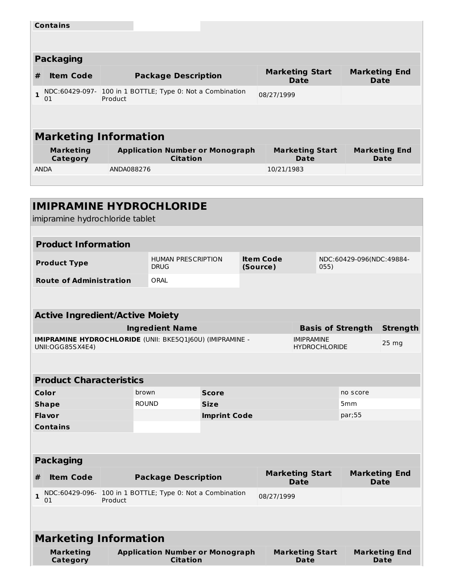|              | <b>Contains</b>              |                                                                      |                                       |                                     |
|--------------|------------------------------|----------------------------------------------------------------------|---------------------------------------|-------------------------------------|
|              |                              |                                                                      |                                       |                                     |
|              | <b>Packaging</b>             |                                                                      |                                       |                                     |
| #            | <b>Item Code</b>             | <b>Package Description</b>                                           | <b>Marketing Start</b><br>Date        | <b>Marketing End</b><br><b>Date</b> |
| $\mathbf{1}$ | 01                           | NDC:60429-097- 100 in 1 BOTTLE; Type 0: Not a Combination<br>Product | 08/27/1999                            |                                     |
|              |                              |                                                                      |                                       |                                     |
|              |                              |                                                                      |                                       |                                     |
|              |                              |                                                                      |                                       |                                     |
|              |                              | <b>Marketing Information</b>                                         |                                       |                                     |
|              | <b>Marketing</b><br>Category | <b>Application Number or Monograph</b><br><b>Citation</b>            | <b>Marketing Start</b><br><b>Date</b> | <b>Marketing End</b><br>Date        |
|              | <b>ANDA</b>                  | ANDA088276                                                           | 10/21/1983                            |                                     |
|              |                              |                                                                      |                                       |                                     |
|              |                              |                                                                      |                                       |                                     |
|              |                              | <b>IMIPRAMINE HYDROCHLORIDE</b>                                      |                                       |                                     |

#### **Product Information Product Type** HUMAN PRESCRIPTION DRUG **Item Code (Source)** NDC:60429-096(NDC:49884- 055) **Route of Administration** ORAL

| <b>Active Ingredient/Active Moiety</b> |                                                                                      |                                           |                 |  |  |  |  |  |
|----------------------------------------|--------------------------------------------------------------------------------------|-------------------------------------------|-----------------|--|--|--|--|--|
|                                        | <b>Ingredient Name</b>                                                               | <b>Basis of Strength</b>                  | <b>Strength</b> |  |  |  |  |  |
|                                        | <b>IMIPRAMINE HYDROCHLORIDE (UNII: BKE501 60U) (IMIPRAMINE -</b><br>UNII:OGG85SX4E4) | <b>IMIPRAMINE</b><br><b>HYDROCHLORIDE</b> | $25 \text{ mg}$ |  |  |  |  |  |
|                                        |                                                                                      |                                           |                 |  |  |  |  |  |
|                                        | <b>Product Characteristics</b>                                                       |                                           |                 |  |  |  |  |  |

| Color           | brown        | <b>Score</b>        | no score        |
|-----------------|--------------|---------------------|-----------------|
| <b>Shape</b>    | <b>ROUND</b> | <b>Size</b>         | 5 <sub>mm</sub> |
| <b>Flavor</b>   |              | <b>Imprint Code</b> | par;55          |
| <b>Contains</b> |              |                     |                 |

|   | <b>Packaging</b>             |                                                                      |                                       |                                     |  |  |  |  |  |  |
|---|------------------------------|----------------------------------------------------------------------|---------------------------------------|-------------------------------------|--|--|--|--|--|--|
| # | <b>Item Code</b>             | <b>Package Description</b>                                           | <b>Marketing Start</b><br><b>Date</b> | <b>Marketing End</b><br><b>Date</b> |  |  |  |  |  |  |
|   | 01                           | NDC:60429-096- 100 in 1 BOTTLE; Type 0: Not a Combination<br>Product | 08/27/1999                            |                                     |  |  |  |  |  |  |
|   |                              |                                                                      |                                       |                                     |  |  |  |  |  |  |
|   | <b>Marketing Information</b> |                                                                      |                                       |                                     |  |  |  |  |  |  |